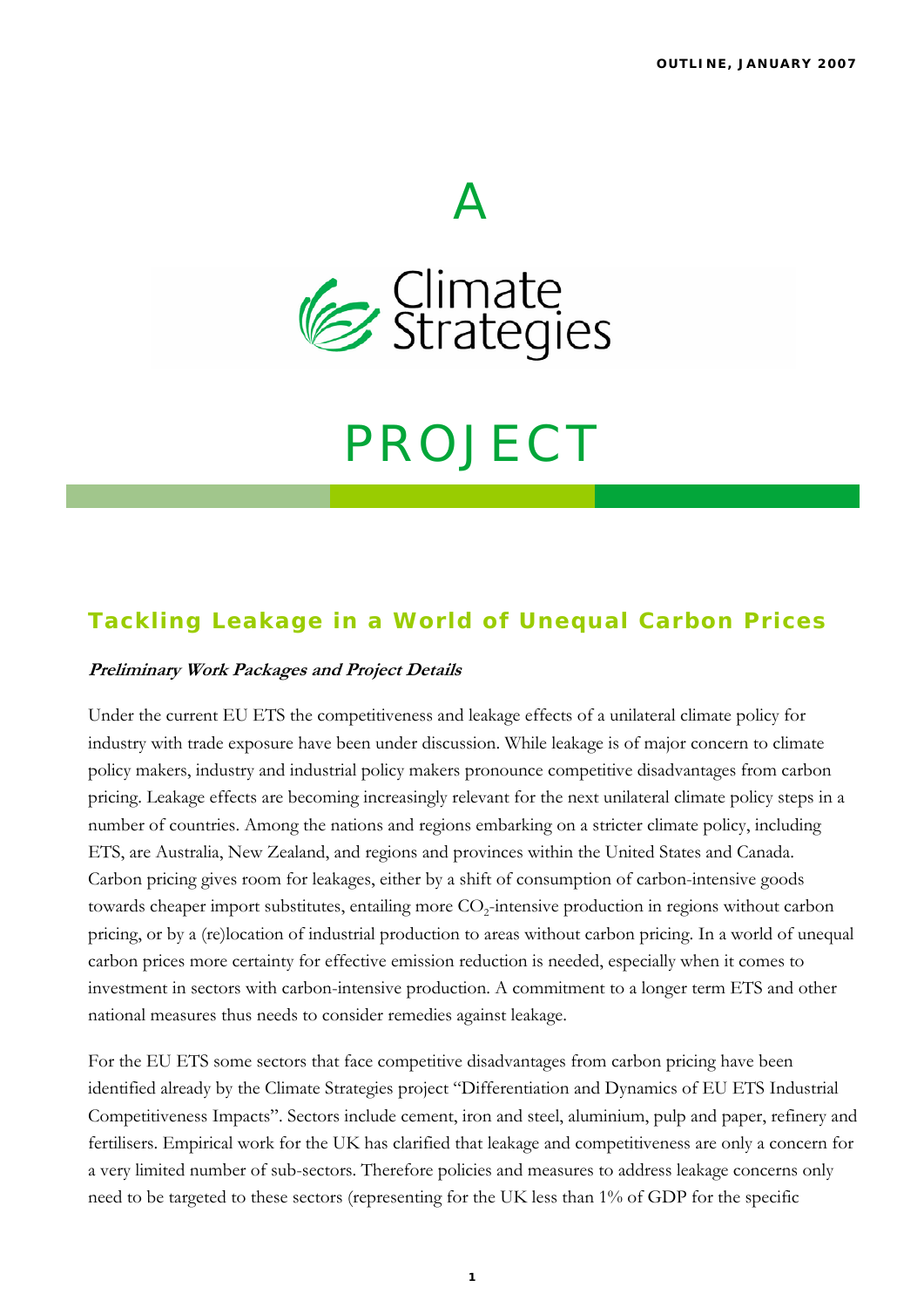

 $\boldsymbol{\varDelta}$ 

# PROJECT

## **Tackling Leakage in a World of Unequal Carbon Prices**

#### **Preliminary Work Packages and Project Details**

Under the current EU ETS the competitiveness and leakage effects of a unilateral climate policy for industry with trade exposure have been under discussion. While leakage is of major concern to climate policy makers, industry and industrial policy makers pronounce competitive disadvantages from carbon pricing. Leakage effects are becoming increasingly relevant for the next unilateral climate policy steps in a number of countries. Among the nations and regions embarking on a stricter climate policy, including ETS, are Australia, New Zealand, and regions and provinces within the United States and Canada. Carbon pricing gives room for leakages, either by a shift of consumption of carbon-intensive goods towards cheaper import substitutes, entailing more  $CO<sub>2</sub>$ -intensive production in regions without carbon pricing, or by a (re)location of industrial production to areas without carbon pricing. In a world of unequal carbon prices more certainty for effective emission reduction is needed, especially when it comes to investment in sectors with carbon-intensive production. A commitment to a longer term ETS and other national measures thus needs to consider remedies against leakage.

For the EU ETS some sectors that face competitive disadvantages from carbon pricing have been identified already by the Climate Strategies project "Differentiation and Dynamics of EU ETS Industrial Competitiveness Impacts". Sectors include cement, iron and steel, aluminium, pulp and paper, refinery and fertilisers. Empirical work for the UK has clarified that leakage and competitiveness are only a concern for a very limited number of sub-sectors. Therefore policies and measures to address leakage concerns only need to be targeted to these sectors (representing for the UK less than 1% of GDP for the specific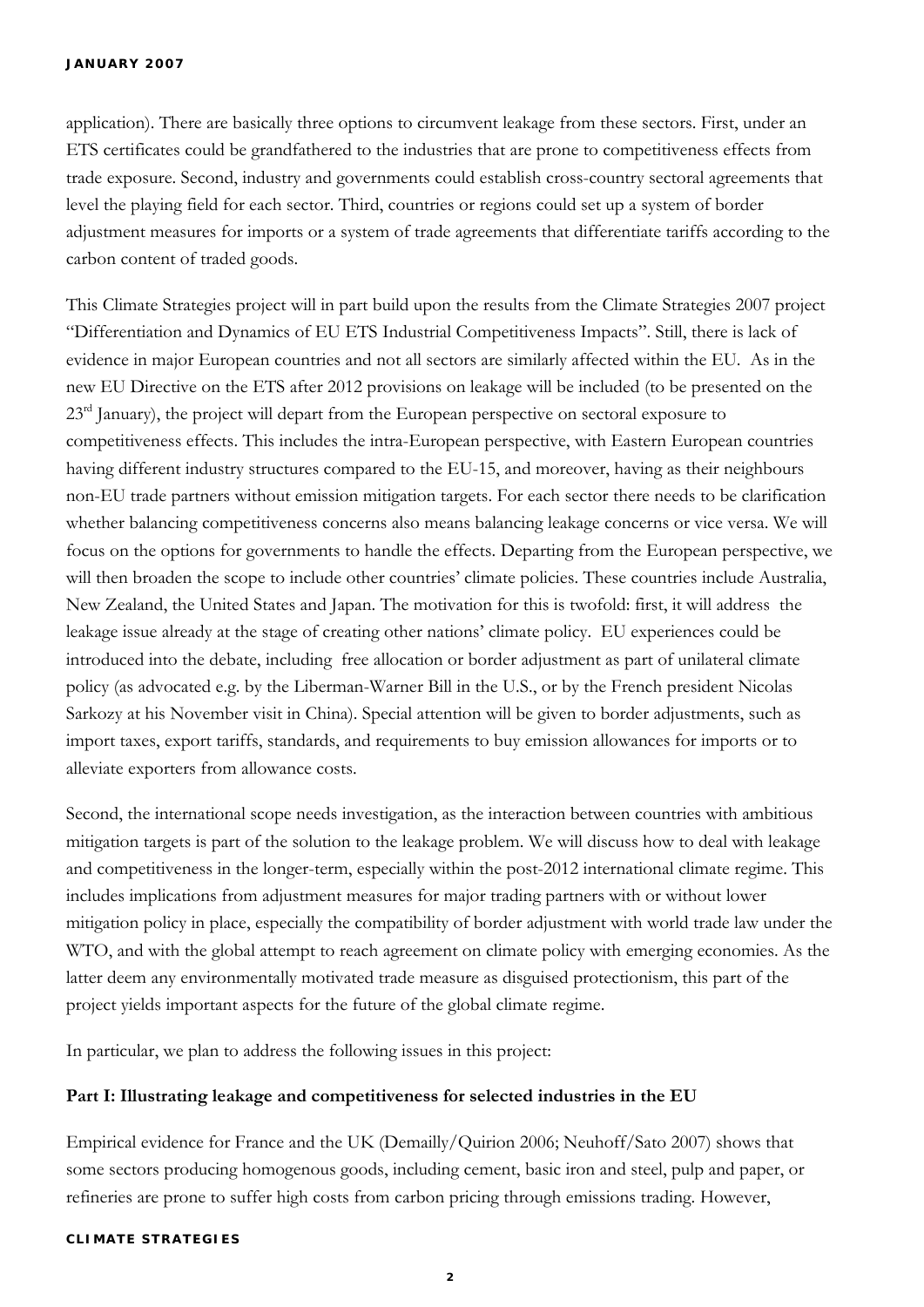application). There are basically three options to circumvent leakage from these sectors. First, under an ETS certificates could be grandfathered to the industries that are prone to competitiveness effects from trade exposure. Second, industry and governments could establish cross-country sectoral agreements that level the playing field for each sector. Third, countries or regions could set up a system of border adjustment measures for imports or a system of trade agreements that differentiate tariffs according to the carbon content of traded goods.

This Climate Strategies project will in part build upon the results from the Climate Strategies 2007 project "Differentiation and Dynamics of EU ETS Industrial Competitiveness Impacts". Still, there is lack of evidence in major European countries and not all sectors are similarly affected within the EU. As in the new EU Directive on the ETS after 2012 provisions on leakage will be included (to be presented on the 23<sup>rd</sup> January), the project will depart from the European perspective on sectoral exposure to competitiveness effects. This includes the intra-European perspective, with Eastern European countries having different industry structures compared to the EU-15, and moreover, having as their neighbours non-EU trade partners without emission mitigation targets. For each sector there needs to be clarification whether balancing competitiveness concerns also means balancing leakage concerns or vice versa. We will focus on the options for governments to handle the effects. Departing from the European perspective, we will then broaden the scope to include other countries' climate policies. These countries include Australia, New Zealand, the United States and Japan. The motivation for this is twofold: first, it will address the leakage issue already at the stage of creating other nations' climate policy. EU experiences could be introduced into the debate, including free allocation or border adjustment as part of unilateral climate policy (as advocated e.g. by the Liberman-Warner Bill in the U.S., or by the French president Nicolas Sarkozy at his November visit in China). Special attention will be given to border adjustments, such as import taxes, export tariffs, standards, and requirements to buy emission allowances for imports or to alleviate exporters from allowance costs.

Second, the international scope needs investigation, as the interaction between countries with ambitious mitigation targets is part of the solution to the leakage problem. We will discuss how to deal with leakage and competitiveness in the longer-term, especially within the post-2012 international climate regime. This includes implications from adjustment measures for major trading partners with or without lower mitigation policy in place, especially the compatibility of border adjustment with world trade law under the WTO, and with the global attempt to reach agreement on climate policy with emerging economies. As the latter deem any environmentally motivated trade measure as disguised protectionism, this part of the project yields important aspects for the future of the global climate regime.

In particular, we plan to address the following issues in this project:

#### **Part I: Illustrating leakage and competitiveness for selected industries in the EU**

Empirical evidence for France and the UK (Demailly/Quirion 2006; Neuhoff/Sato 2007) shows that some sectors producing homogenous goods, including cement, basic iron and steel, pulp and paper, or refineries are prone to suffer high costs from carbon pricing through emissions trading. However,

#### **CLIMATE STRATEGIES**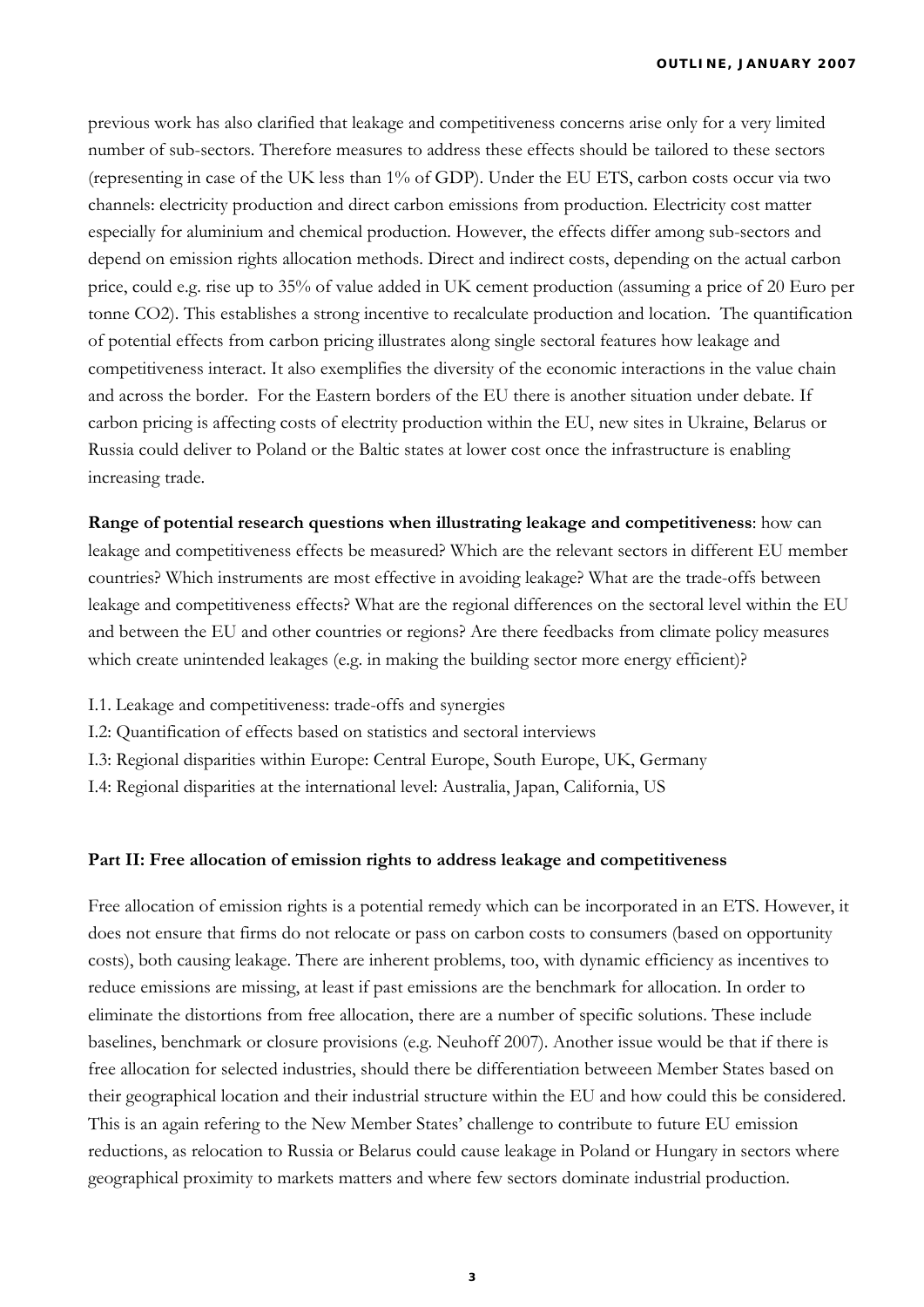previous work has also clarified that leakage and competitiveness concerns arise only for a very limited number of sub-sectors. Therefore measures to address these effects should be tailored to these sectors (representing in case of the UK less than 1% of GDP). Under the EU ETS, carbon costs occur via two channels: electricity production and direct carbon emissions from production. Electricity cost matter especially for aluminium and chemical production. However, the effects differ among sub-sectors and depend on emission rights allocation methods. Direct and indirect costs, depending on the actual carbon price, could e.g. rise up to 35% of value added in UK cement production (assuming a price of 20 Euro per tonne CO2). This establishes a strong incentive to recalculate production and location. The quantification of potential effects from carbon pricing illustrates along single sectoral features how leakage and competitiveness interact. It also exemplifies the diversity of the economic interactions in the value chain and across the border. For the Eastern borders of the EU there is another situation under debate. If carbon pricing is affecting costs of electrity production within the EU, new sites in Ukraine, Belarus or Russia could deliver to Poland or the Baltic states at lower cost once the infrastructure is enabling increasing trade.

**Range of potential research questions when illustrating leakage and competitiveness**: how can leakage and competitiveness effects be measured? Which are the relevant sectors in different EU member countries? Which instruments are most effective in avoiding leakage? What are the trade-offs between leakage and competitiveness effects? What are the regional differences on the sectoral level within the EU and between the EU and other countries or regions? Are there feedbacks from climate policy measures which create unintended leakages (e.g. in making the building sector more energy efficient)?

- I.1. Leakage and competitiveness: trade-offs and synergies
- I.2: Quantification of effects based on statistics and sectoral interviews
- I.3: Regional disparities within Europe: Central Europe, South Europe, UK, Germany
- I.4: Regional disparities at the international level: Australia, Japan, California, US

#### **Part II: Free allocation of emission rights to address leakage and competitiveness**

Free allocation of emission rights is a potential remedy which can be incorporated in an ETS. However, it does not ensure that firms do not relocate or pass on carbon costs to consumers (based on opportunity costs), both causing leakage. There are inherent problems, too, with dynamic efficiency as incentives to reduce emissions are missing, at least if past emissions are the benchmark for allocation. In order to eliminate the distortions from free allocation, there are a number of specific solutions. These include baselines, benchmark or closure provisions (e.g. Neuhoff 2007). Another issue would be that if there is free allocation for selected industries, should there be differentiation betweeen Member States based on their geographical location and their industrial structure within the EU and how could this be considered. This is an again refering to the New Member States' challenge to contribute to future EU emission reductions, as relocation to Russia or Belarus could cause leakage in Poland or Hungary in sectors where geographical proximity to markets matters and where few sectors dominate industrial production.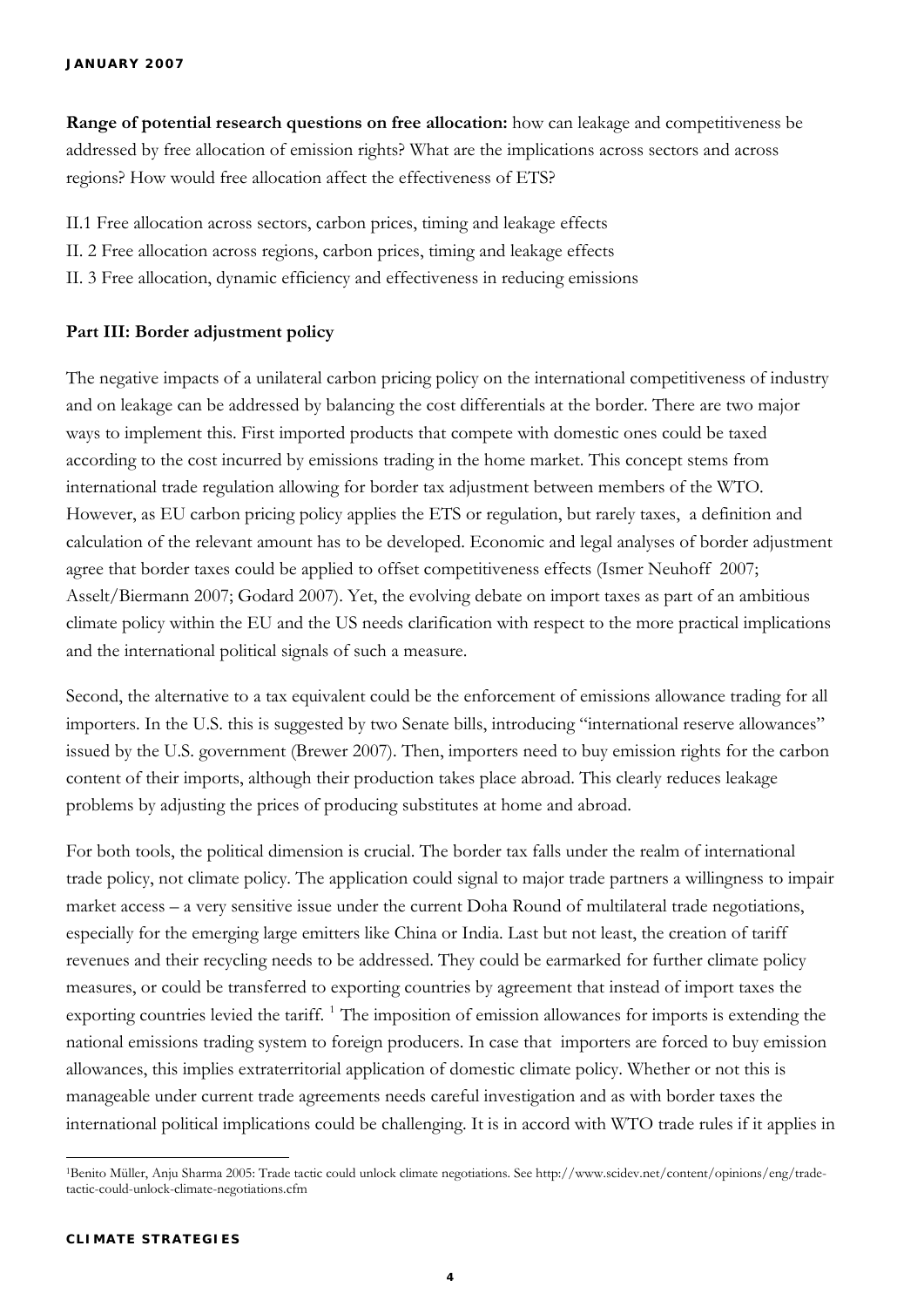**Range of potential research questions on free allocation:** how can leakage and competitiveness be addressed by free allocation of emission rights? What are the implications across sectors and across regions? How would free allocation affect the effectiveness of ETS?

II.1 Free allocation across sectors, carbon prices, timing and leakage effects

- II. 2 Free allocation across regions, carbon prices, timing and leakage effects
- II. 3 Free allocation, dynamic efficiency and effectiveness in reducing emissions

#### **Part III: Border adjustment policy**

The negative impacts of a unilateral carbon pricing policy on the international competitiveness of industry and on leakage can be addressed by balancing the cost differentials at the border. There are two major ways to implement this. First imported products that compete with domestic ones could be taxed according to the cost incurred by emissions trading in the home market. This concept stems from international trade regulation allowing for border tax adjustment between members of the WTO. However, as EU carbon pricing policy applies the ETS or regulation, but rarely taxes, a definition and calculation of the relevant amount has to be developed. Economic and legal analyses of border adjustment agree that border taxes could be applied to offset competitiveness effects (Ismer Neuhoff 2007; Asselt/Biermann 2007; Godard 2007). Yet, the evolving debate on import taxes as part of an ambitious climate policy within the EU and the US needs clarification with respect to the more practical implications and the international political signals of such a measure.

Second, the alternative to a tax equivalent could be the enforcement of emissions allowance trading for all importers. In the U.S. this is suggested by two Senate bills, introducing "international reserve allowances" issued by the U.S. government (Brewer 2007). Then, importers need to buy emission rights for the carbon content of their imports, although their production takes place abroad. This clearly reduces leakage problems by adjusting the prices of producing substitutes at home and abroad.

For both tools, the political dimension is crucial. The border tax falls under the realm of international trade policy, not climate policy. The application could signal to major trade partners a willingness to impair market access – a very sensitive issue under the current Doha Round of multilateral trade negotiations, especially for the emerging large emitters like China or India. Last but not least, the creation of tariff revenues and their recycling needs to be addressed. They could be earmarked for further climate policy measures, or could be transferred to exporting countries by agreement that instead of import taxes the exporting countries levied the tariff.<sup>[1](#page-3-0)</sup> The imposition of emission allowances for imports is extending the national emissions trading system to foreign producers. In case that importers are forced to buy emission allowances, this implies extraterritorial application of domestic climate policy. Whether or not this is manageable under current trade agreements needs careful investigation and as with border taxes the international political implications could be challenging. It is in accord with WTO trade rules if it applies in

<span id="page-3-0"></span> 1Benito Müller, Anju Sharma 2005: Trade tactic could unlock climate negotiations. See http://www.scidev.net/content/opinions/eng/tradetactic-could-unlock-climate-negotiations.cfm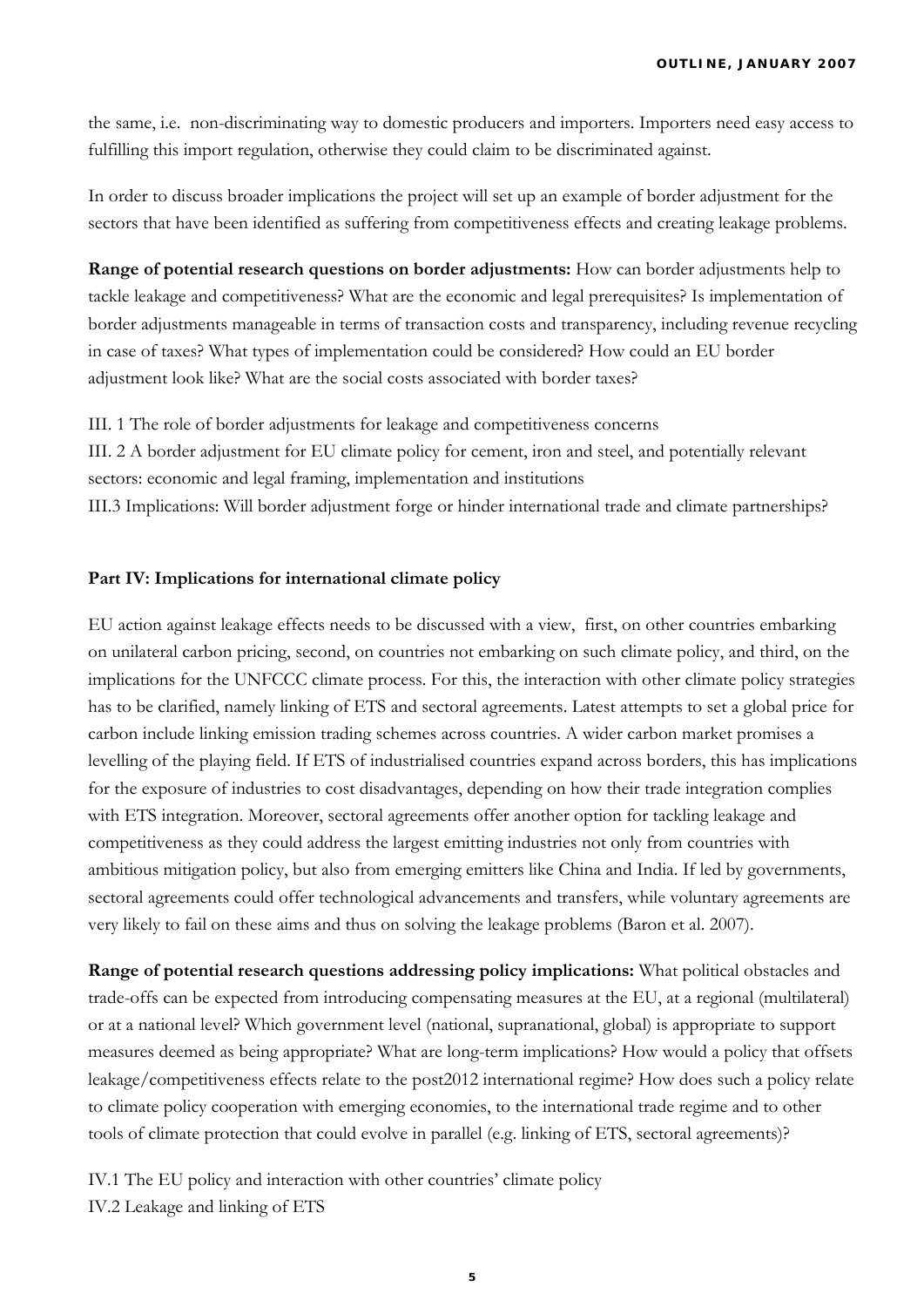the same, i.e. non-discriminating way to domestic producers and importers. Importers need easy access to fulfilling this import regulation, otherwise they could claim to be discriminated against.

In order to discuss broader implications the project will set up an example of border adjustment for the sectors that have been identified as suffering from competitiveness effects and creating leakage problems.

**Range of potential research questions on border adjustments:** How can border adjustments help to tackle leakage and competitiveness? What are the economic and legal prerequisites? Is implementation of border adjustments manageable in terms of transaction costs and transparency, including revenue recycling in case of taxes? What types of implementation could be considered? How could an EU border adjustment look like? What are the social costs associated with border taxes?

III. 1 The role of border adjustments for leakage and competitiveness concerns III. 2 A border adjustment for EU climate policy for cement, iron and steel, and potentially relevant sectors: economic and legal framing, implementation and institutions III.3 Implications: Will border adjustment forge or hinder international trade and climate partnerships?

#### **Part IV: Implications for international climate policy**

EU action against leakage effects needs to be discussed with a view, first, on other countries embarking on unilateral carbon pricing, second, on countries not embarking on such climate policy, and third, on the implications for the UNFCCC climate process. For this, the interaction with other climate policy strategies has to be clarified, namely linking of ETS and sectoral agreements. Latest attempts to set a global price for carbon include linking emission trading schemes across countries. A wider carbon market promises a levelling of the playing field. If ETS of industrialised countries expand across borders, this has implications for the exposure of industries to cost disadvantages, depending on how their trade integration complies with ETS integration. Moreover, sectoral agreements offer another option for tackling leakage and competitiveness as they could address the largest emitting industries not only from countries with ambitious mitigation policy, but also from emerging emitters like China and India. If led by governments, sectoral agreements could offer technological advancements and transfers, while voluntary agreements are very likely to fail on these aims and thus on solving the leakage problems (Baron et al. 2007).

**Range of potential research questions addressing policy implications:** What political obstacles and trade-offs can be expected from introducing compensating measures at the EU, at a regional (multilateral) or at a national level? Which government level (national, supranational, global) is appropriate to support measures deemed as being appropriate? What are long-term implications? How would a policy that offsets leakage/competitiveness effects relate to the post2012 international regime? How does such a policy relate to climate policy cooperation with emerging economies, to the international trade regime and to other tools of climate protection that could evolve in parallel (e.g. linking of ETS, sectoral agreements)?

IV.1 The EU policy and interaction with other countries' climate policy IV.2 Leakage and linking of ETS

**5**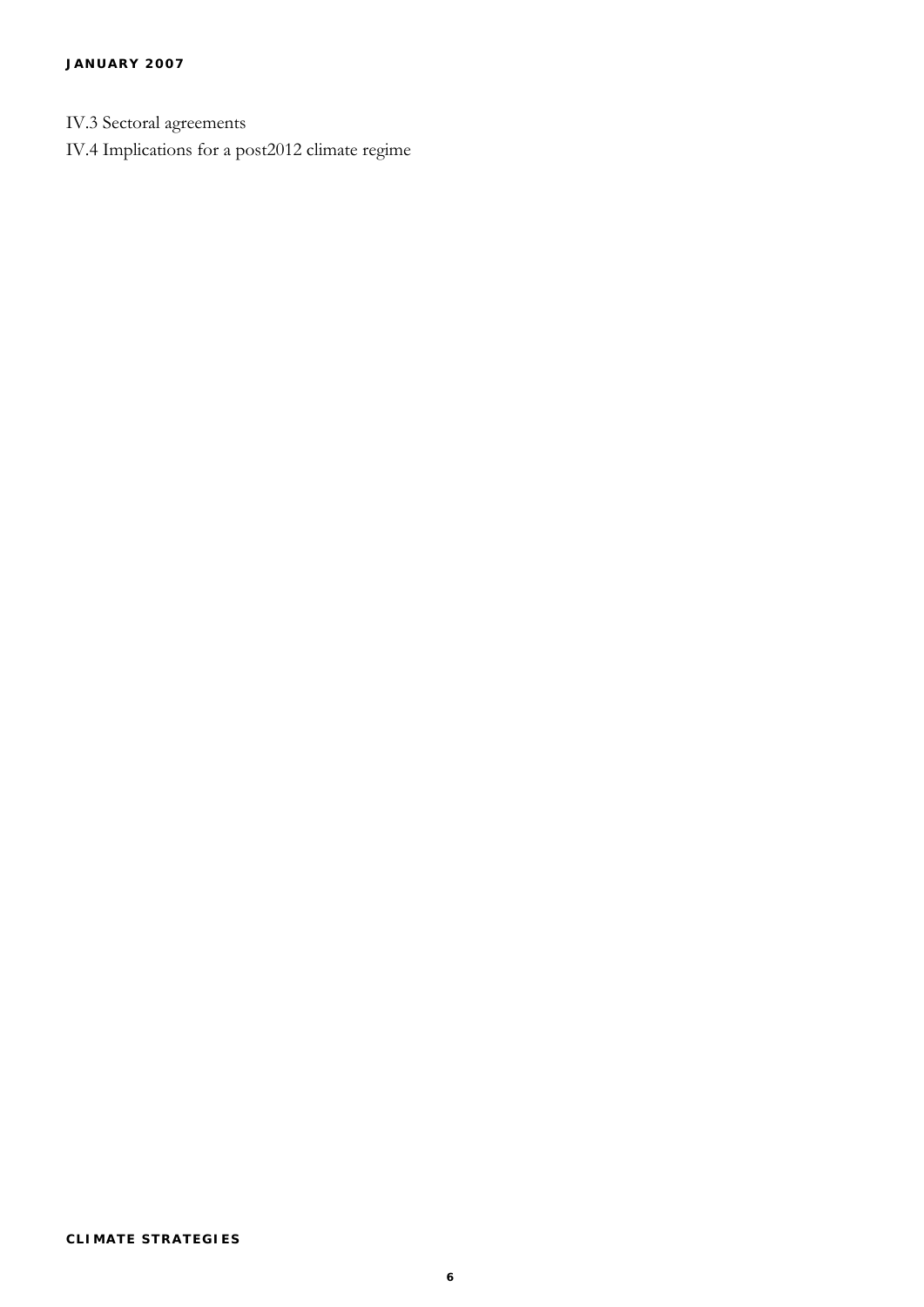- IV.3 Sectoral agreements
- IV.4 Implications for a post2012 climate regime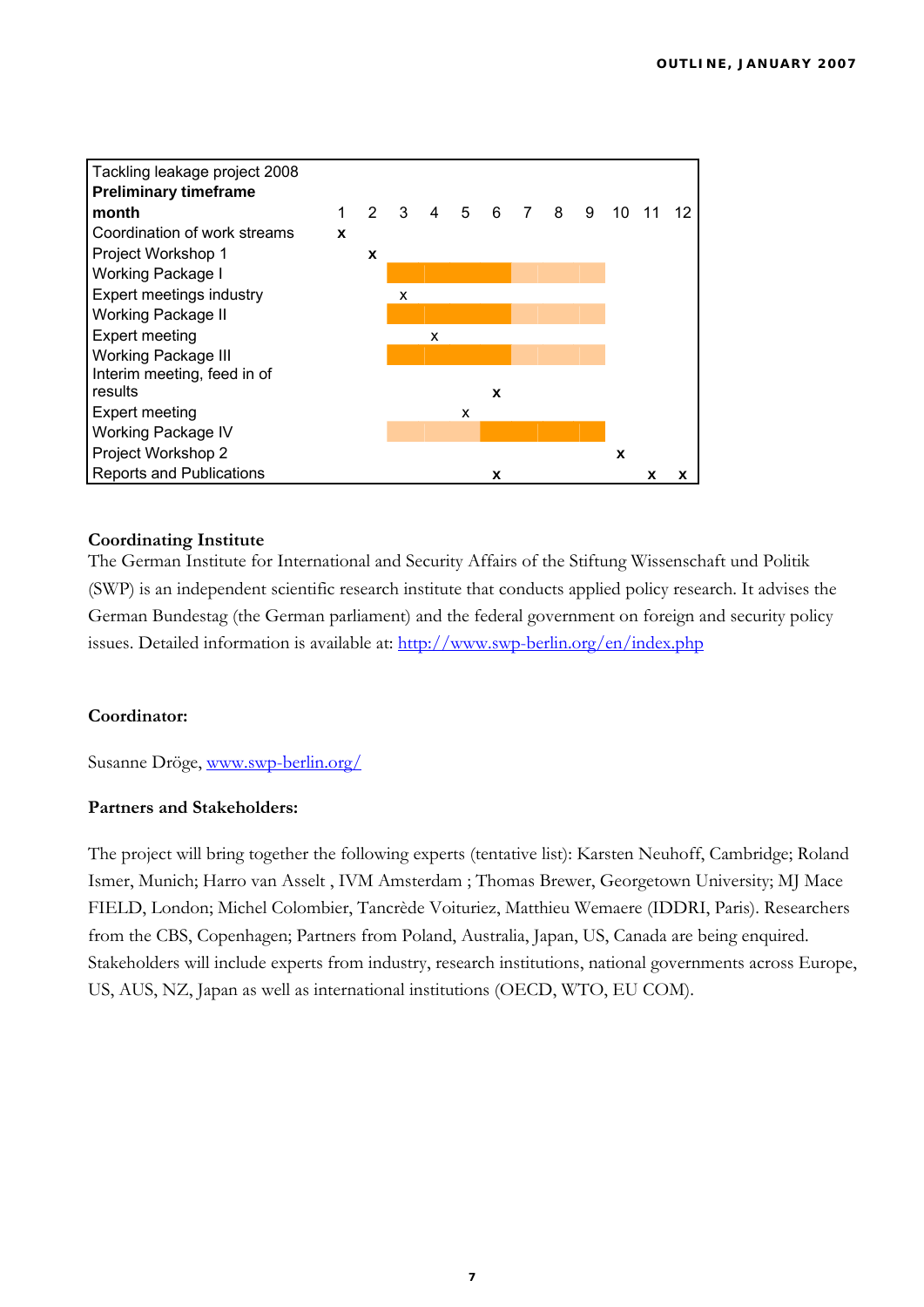

### **Coordinating Institute**

The German Institute for International and Security Affairs of the Stiftung Wissenschaft und Politik (SWP) is an independent scientific research institute that conducts applied policy research. It advises the German Bundestag (the German parliament) and the federal government on foreign and security policy issues. Detailed information is available at:<http://www.swp-berlin.org/en/index.php>

#### **Coordinator:**

Susanne Dröge, [www.swp-berlin.org/](http://www.swp-berlin.org/)

### **Partners and Stakeholders:**

The project will bring together the following experts (tentative list): Karsten Neuhoff, Cambridge; Roland Ismer, Munich; Harro van Asselt , IVM Amsterdam ; Thomas Brewer, Georgetown University; MJ Mace FIELD, London; Michel Colombier, Tancrède Voituriez, Matthieu Wemaere (IDDRI, Paris). Researchers from the CBS, Copenhagen; Partners from Poland, Australia, Japan, US, Canada are being enquired. Stakeholders will include experts from industry, research institutions, national governments across Europe, US, AUS, NZ, Japan as well as international institutions (OECD, WTO, EU COM).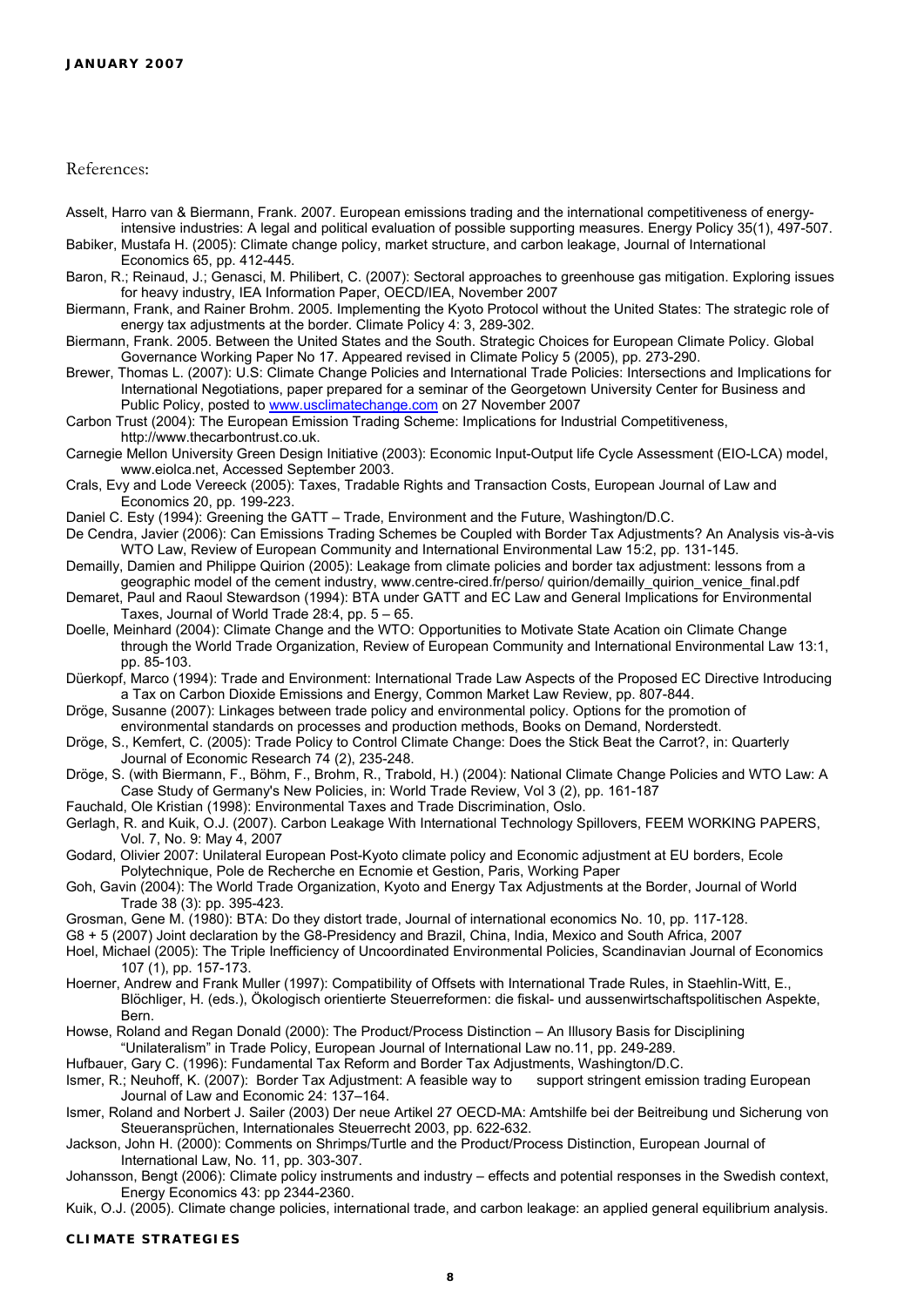References:

Asselt, Harro van & Biermann, Frank. 2007. European emissions trading and the international competitiveness of energyintensive industries: A legal and political evaluation of possible supporting measures. Energy Policy 35(1), 497-507.

Babiker, Mustafa H. (2005): Climate change policy, market structure, and carbon leakage, Journal of International Economics 65, pp. 412-445.

- Baron, R.; Reinaud, J.; Genasci, M. Philibert, C. (2007): Sectoral approaches to greenhouse gas mitigation. Exploring issues for heavy industry, IEA Information Paper, OECD/IEA, November 2007
- Biermann, Frank, and Rainer Brohm. 2005. Implementing the Kyoto Protocol without the United States: The strategic role of energy tax adjustments at the border. Climate Policy 4: 3, 289-302.
- Biermann, Frank. 2005. Between the United States and the South. Strategic Choices for European Climate Policy. Global Governance Working Paper No 17. Appeared revised in Climate Policy 5 (2005), pp. 273-290.
- Brewer, Thomas L. (2007): U.S: Climate Change Policies and International Trade Policies: Intersections and Implications for International Negotiations, paper prepared for a seminar of the Georgetown University Center for Business and Public Policy, posted to [www.usclimatechange.com](http://www.usclimatechange.com/) on 27 November 2007

Carbon Trust (2004): The European Emission Trading Scheme: Implications for Industrial Competitiveness, http://www.thecarbontrust.co.uk.

Carnegie Mellon University Green Design Initiative (2003): Economic Input-Output life Cycle Assessment (EIO-LCA) model, www.eiolca.net, Accessed September 2003.

- Crals, Evy and Lode Vereeck (2005): Taxes, Tradable Rights and Transaction Costs, European Journal of Law and Economics 20, pp. 199-223.
- Daniel C. Esty (1994): Greening the GATT Trade, Environment and the Future, Washington/D.C.
- De Cendra, Javier (2006): Can Emissions Trading Schemes be Coupled with Border Tax Adjustments? An Analysis vis-à-vis WTO Law, Review of European Community and International Environmental Law 15:2, pp. 131-145.
- Demailly, Damien and Philippe Quirion (2005): Leakage from climate policies and border tax adjustment: lessons from a geographic model of the cement industry, www.centre-cired.fr/perso/ quirion/demailly\_quirion\_venice\_final.pdf
- Demaret, Paul and Raoul Stewardson (1994): BTA under GATT and EC Law and General Implications for Environmental Taxes, Journal of World Trade 28:4, pp. 5 – 65.
- Doelle, Meinhard (2004): Climate Change and the WTO: Opportunities to Motivate State Acation oin Climate Change through the World Trade Organization, Review of European Community and International Environmental Law 13:1, pp. 85-103.
- Düerkopf, Marco (1994): Trade and Environment: International Trade Law Aspects of the Proposed EC Directive Introducing a Tax on Carbon Dioxide Emissions and Energy, Common Market Law Review, pp. 807-844.
- Dröge, Susanne (2007): Linkages between trade policy and environmental policy. Options for the promotion of environmental standards on processes and production methods, Books on Demand, Norderstedt.
- Dröge, S., Kemfert, C. (2005): Trade Policy to Control Climate Change: Does the Stick Beat the Carrot?, in: Quarterly Journal of Economic Research 74 (2), 235-248.
- Dröge, S. (with Biermann, F., Böhm, F., Brohm, R., Trabold, H.) (2004): National Climate Change Policies and WTO Law: A Case Study of Germany's New Policies, in: World Trade Review, Vol 3 (2), pp. 161-187
- Fauchald, Ole Kristian (1998): Environmental Taxes and Trade Discrimination, Oslo.
- Gerlagh, R. and Kuik, O.J. (2007). Carbon Leakage With International Technology Spillovers, FEEM WORKING PAPERS, Vol. 7, No. 9: May 4, 2007
- Godard, Olivier 2007: Unilateral European Post-Kyoto climate policy and Economic adjustment at EU borders, Ecole Polytechnique, Pole de Recherche en Ecnomie et Gestion, Paris, Working Paper
- Goh, Gavin (2004): The World Trade Organization, Kyoto and Energy Tax Adjustments at the Border, Journal of World Trade 38 (3): pp. 395-423.
- Grosman, Gene M. (1980): BTA: Do they distort trade, Journal of international economics No. 10, pp. 117-128.
- G8 + 5 (2007) Joint declaration by the G8-Presidency and Brazil, China, India, Mexico and South Africa, 2007
- Hoel, Michael (2005): The Triple Inefficiency of Uncoordinated Environmental Policies, Scandinavian Journal of Economics 107 (1), pp. 157-173.
- Hoerner, Andrew and Frank Muller (1997): Compatibility of Offsets with International Trade Rules, in Staehlin-Witt, E., Blöchliger, H. (eds.), Ökologisch orientierte Steuerreformen: die fiskal- und aussenwirtschaftspolitischen Aspekte, Bern.
- Howse, Roland and Regan Donald (2000): The Product/Process Distinction An Illusory Basis for Disciplining
- "Unilateralism" in Trade Policy, European Journal of International Law no.11, pp. 249-289. Hufbauer, Gary C. (1996): Fundamental Tax Reform and Border Tax Adjustments, Washington/D.C.

Ismer, R.; Neuhoff, K. (2007): Border Tax Adjustment: A feasible way to support stringent emission trading European Journal of Law and Economic 24: 137–164.

Ismer, Roland and Norbert J. Sailer (2003) Der neue Artikel 27 OECD-MA: Amtshilfe bei der Beitreibung und Sicherung von Steueransprüchen, Internationales Steuerrecht 2003, pp. 622-632.

Jackson, John H. (2000): Comments on Shrimps/Turtle and the Product/Process Distinction, European Journal of International Law, No. 11, pp. 303-307.

Johansson, Bengt (2006): Climate policy instruments and industry – effects and potential responses in the Swedish context, Energy Economics 43: pp 2344-2360.

Kuik, O.J. (2005). Climate change policies, international trade, and carbon leakage: an applied general equilibrium analysis.

#### **CLIMATE STRATEGIES**